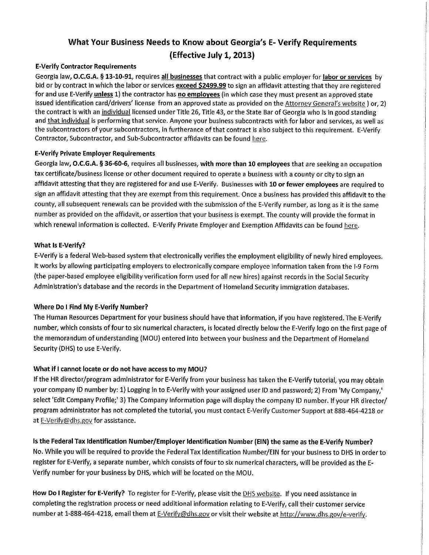# What Your Business Needs to Know about Georgia's E- Verify Requirements (Effective July 1, 2013)

#### **E-Verify Contractor Requirements**

Georgia law, O.C.G.A. § 13-10-91, requires all businesses that contract with a public employer for labor or services by bid or by contract in which the labor or services exceed \$2499.99 to sign an affidavit attesting that they are registered for and use E-Verify unless 1) the contractor has no employees (in which case they must present an approved state issued identification card/drivers' license from an approved state as provided on the Attorney General's website ) or, 2) the contract is with an individual licensed under Title 26, Title 43, or the State Bar of Georgia who is in good standing and that individual is performing that service. Anyone your business subcontracts with for labor and services, as well as the subcontractors of your subcontractors, in furtherance of that contract is also subject to this requirement. E-Verify Contractor, Subcontractor, and Sub-Subcontractor affidavits can be found here.

#### **E-Verify Private Employer Requirements**

Georgia law, O.C.G.A. § 36-60-6, requires all businesses, with more than 10 employees that are seeking an occupation tax certificate/business license or other document required to operate a business with a county or city to sign an affidavit attesting that they are registered for and use E-Verify. Businesses with 10 or fewer employees are required to sign an affidavit attesting that they are exempt from this requirement. Once a business has provided this affidavit to the county, all subsequent renewals can be provided with the submission of the E-Verify number, as long as it is the same number as provided on the affidavit, or assertion that your business is exempt. The county will provide the format in which renewal information is collected. E-Verify Private Employer and Exemption Affidavits can be found here.

#### What Is E-Verify?

E-Verify is a federal Web-based system that electronically verifies the employment eligibility of newly hired employees. It works by allowing participating employers to electronically compare employee information taken from the I-9 Form (the paper-based employee eligibility verification form used for all new hires) against records in the Social Security Administration's database and the records in the Department of Homeland Security immigration databases.

## Where Do I Find My E-Verify Number?

The Human Resources Department for your business should have that information, if you have registered. The E-Verify number, which consists of four to six numerical characters, is located directly below the E-Verify logo on the first page of the memorandum of understanding (MOU) entered into between your business and the Department of Homeland Security (DHS) to use E-Verify.

## What if I cannot locate or do not have access to my MOU?

If the HR director/program administrator for E-Verify from your business has taken the E-Verify tutorial, you may obtain your company ID number by: 1) Logging in to E-Verify with your assigned user ID and password; 2) From 'My Company,' select 'Edit Company Profile;' 3) The Company Information page will display the company ID number. If your HR director/ program administrator has not completed the tutorial, you must contact E-Verify Customer Support at 888-464-4218 or at E-Verify@dhs.gov for assistance.

Is the Federal Tax Identification Number/Employer Identification Number (EIN) the same as the E-Verify Number? No. While you will be required to provide the Federal Tax Identification Number/EIN for your business to DHS in order to register for E-Verify, a separate number, which consists of four to six numerical characters, will be provided as the E-Verify number for your business by DHS, which will be located on the MOU.

How Do I Register for E-Verify? To register for E-Verify, please visit the DHS website. If you need assistance in completing the registration process or need additional information relating to E-Verify, call their customer service number at 1-888-464-4218, email them at E-Verify@dhs.gov or visit their website at http://www.dhs.gov/e-verify.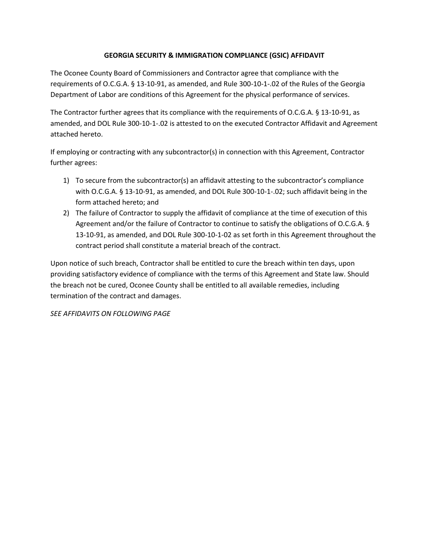## **GEORGIA SECURITY & IMMIGRATION COMPLIANCE (GSIC) AFFIDAVIT**

The Oconee County Board of Commissioners and Contractor agree that compliance with the requirements of O.C.G.A. § 13-10-91, as amended, and Rule 300-10-1-.02 of the Rules of the Georgia Department of Labor are conditions of this Agreement for the physical performance of services.

The Contractor further agrees that its compliance with the requirements of O.C.G.A. § 13-10-91, as amended, and DOL Rule 300-10-1-.02 is attested to on the executed Contractor Affidavit and Agreement attached hereto.

If employing or contracting with any subcontractor(s) in connection with this Agreement, Contractor further agrees:

- 1) To secure from the subcontractor(s) an affidavit attesting to the subcontractor's compliance with O.C.G.A. § 13-10-91, as amended, and DOL Rule 300-10-1-.02; such affidavit being in the form attached hereto; and
- 2) The failure of Contractor to supply the affidavit of compliance at the time of execution of this Agreement and/or the failure of Contractor to continue to satisfy the obligations of O.C.G.A. § 13-10-91, as amended, and DOL Rule 300-10-1-02 as set forth in this Agreement throughout the contract period shall constitute a material breach of the contract.

Upon notice of such breach, Contractor shall be entitled to cure the breach within ten days, upon providing satisfactory evidence of compliance with the terms of this Agreement and State law. Should the breach not be cured, Oconee County shall be entitled to all available remedies, including termination of the contract and damages.

*SEE AFFIDAVITS ON FOLLOWING PAGE*